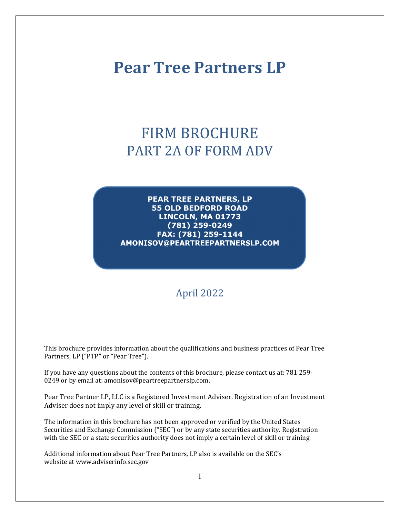# **Pear Tree Partners LP**

# FIRM BROCHURE PART 2A OF FORM ADV

**PEAR TREE PARTNERS, LP 55 OLD BEDFORD ROAD LINCOLN, MA 01773 (781) 259-0249 FAX: (781) 259-1144** AMONISOV@PEARTREEPARTNERSLP.COM

# April 2022

This brochure provides information about the qualifications and business practices of Pear Tree Partners, LP ("PTP" or "Pear Tree").

If you have any questions about the contents of this brochure, please contact us at: 781 259- 0249 or by email at: amonisov@peartreepartnerslp.com.

Pear Tree Partner LP, LLC is a Registered Investment Adviser. Registration of an Investment Adviser does not imply any level of skill or training.

The information in this brochure has not been approved or verified by the United States Securities and Exchange Commission ("SEC") or by any state securities authority. Registration with the SEC or a state securities authority does not imply a certain level of skill or training.

Additional information about Pear Tree Partners, LP also is available on the SEC's website at www.adviserinfo.sec.gov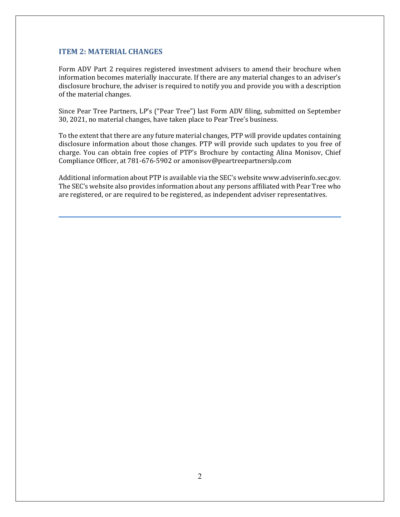## **ITEM 2: MATERIAL CHANGES**

Form ADV Part 2 requires registered investment advisers to amend their brochure when information becomes materially inaccurate. If there are any material changes to an adviser's disclosure brochure, the adviser is required to notify you and provide you with a description of the material changes.

Since Pear Tree Partners, LP's ("Pear Tree") last Form ADV filing, submitted on September 30, 2021, no material changes, have taken place to Pear Tree's business.

To the extent that there are any future material changes, PTP will provide updates containing disclosure information about those changes. PTP will provide such updates to you free of charge. You can obtain free copies of PTP's Brochure by contacting Alina Monisov, Chief Compliance Officer, at 781-676-5902 or amonisov@peartreepartnerslp.com

Additional information about PTP is available via the SEC's website www.adviserinfo.sec.gov. The SEC's website also provides information about any persons affiliated with Pear Tree who are registered, or are required to be registered, as independent adviser representatives.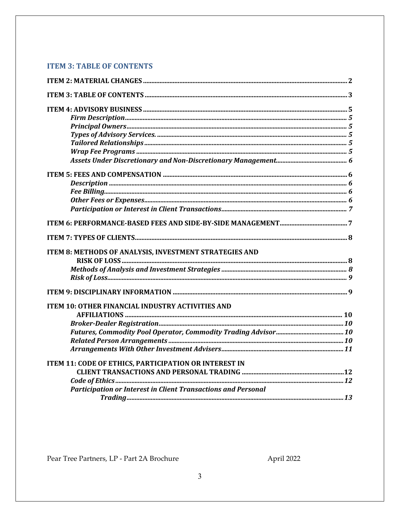# **ITEM 3: TABLE OF CONTENTS**

| ITEM 8: METHODS OF ANALYSIS, INVESTMENT STRATEGIES AND               |  |
|----------------------------------------------------------------------|--|
|                                                                      |  |
|                                                                      |  |
|                                                                      |  |
|                                                                      |  |
| <b>ITEM 10: OTHER FINANCIAL INDUSTRY ACTIVITIES AND</b>              |  |
|                                                                      |  |
|                                                                      |  |
|                                                                      |  |
|                                                                      |  |
|                                                                      |  |
| <b>ITEM 11: CODE OF ETHICS, PARTICIPATION OR INTEREST IN</b>         |  |
|                                                                      |  |
|                                                                      |  |
| <b>Participation or Interest in Client Transactions and Personal</b> |  |
|                                                                      |  |

Pear Tree Partners, LP - Part 2A Brochure

April 2022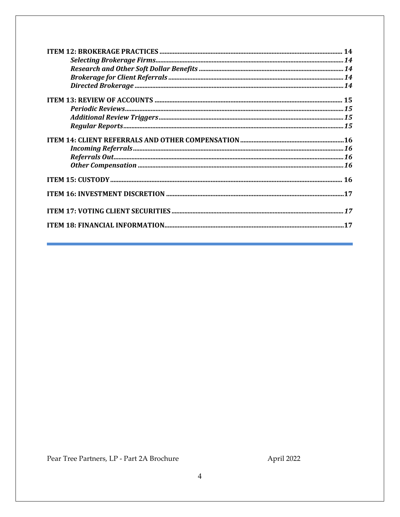| $\textit{Periodic Reviews}.\textit{}.\textit{}.\textit{}.\textit{}.\textit{}.\textit{}.\textit{}.\textit{}.\textit{}.\textit{}.\textit{}.\textit{15}$ |  |
|-------------------------------------------------------------------------------------------------------------------------------------------------------|--|
|                                                                                                                                                       |  |
|                                                                                                                                                       |  |
|                                                                                                                                                       |  |
|                                                                                                                                                       |  |
|                                                                                                                                                       |  |
|                                                                                                                                                       |  |
|                                                                                                                                                       |  |
|                                                                                                                                                       |  |
|                                                                                                                                                       |  |
|                                                                                                                                                       |  |

Pear Tree Partners, LP - Part 2A Brochure

April 2022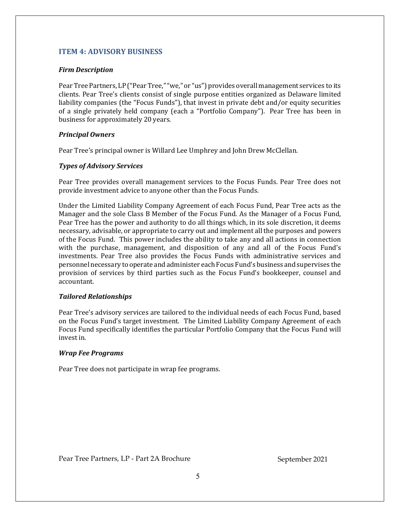## **ITEM 4: ADVISORY BUSINESS**

#### *Firm Description*

Pear Tree Partners, LP ("Pear Tree," "we," or "us") provides overall management services to its clients. Pear Tree's clients consist of single purpose entities organized as Delaware limited liability companies (the "Focus Funds"), that invest in private debt and/or equity securities of a single privately held company (each a "Portfolio Company"). Pear Tree has been in business for approximately 20 years.

## *Principal Owners*

Pear Tree's principal owner is Willard Lee Umphrey and John Drew McClellan.

## *Types of Advisory Services*

Pear Tree provides overall management services to the Focus Funds. Pear Tree does not provide investment advice to anyone other than the Focus Funds.

Under the Limited Liability Company Agreement of each Focus Fund, Pear Tree acts as the Manager and the sole Class B Member of the Focus Fund. As the Manager of a Focus Fund, Pear Tree has the power and authority to do all things which, in its sole discretion, it deems necessary, advisable, or appropriate to carry out and implement all the purposes and powers of the Focus Fund. This power includes the ability to take any and all actions in connection with the purchase, management, and disposition of any and all of the Focus Fund's investments. Pear Tree also provides the Focus Funds with administrative services and personnel necessary to operate and administer each Focus Fund's business and supervises the provision of services by third parties such as the Focus Fund's bookkeeper, counsel and accountant.

## *Tailored Relationships*

Pear Tree's advisory services are tailored to the individual needs of each Focus Fund, based on the Focus Fund's target investment. The Limited Liability Company Agreement of each Focus Fund specifically identifies the particular Portfolio Company that the Focus Fund will invest in.

## *Wrap Fee Programs*

Pear Tree does not participate in wrap fee programs.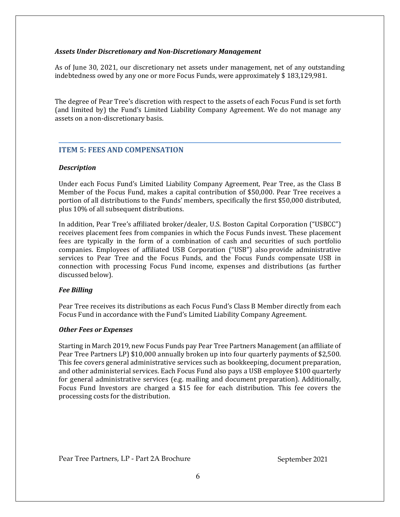#### *Assets Under Discretionary and Non‐Discretionary Management*

As of June 30, 2021, our discretionary net assets under management, net of any outstanding indebtedness owed by any one or more Focus Funds, were approximately \$ 183,129,981.

The degree of Pear Tree's discretion with respect to the assets of each Focus Fund is set forth (and limited by) the Fund's Limited Liability Company Agreement. We do not manage any assets on a non-discretionary basis.

## **ITEM 5: FEES AND COMPENSATION**

## *Description*

Under each Focus Fund's Limited Liability Company Agreement, Pear Tree, as the Class B Member of the Focus Fund, makes a capital contribution of \$50,000. Pear Tree receives a portion of all distributions to the Funds' members, specifically the first \$50,000 distributed, plus 10% of all subsequent distributions.

In addition, Pear Tree's affiliated broker/dealer, U.S. Boston Capital Corporation ("USBCC") receives placement fees from companies in which the Focus Funds invest. These placement fees are typically in the form of a combination of cash and securities of such portfolio companies. Employees of affiliated USB Corporation ("USB") also provide administrative services to Pear Tree and the Focus Funds, and the Focus Funds compensate USB in connection with processing Focus Fund income, expenses and distributions (as further discussed below).

## *Fee Billing*

Pear Tree receives its distributions as each Focus Fund's Class B Member directly from each Focus Fund in accordance with the Fund's Limited Liability Company Agreement.

## *Other Fees or Expenses*

Starting in March 2019, new Focus Funds pay Pear Tree Partners Management (an affiliate of Pear Tree Partners LP) \$10,000 annually broken up into four quarterly payments of \$2,500. This fee covers general administrative services such as bookkeeping, document preparation, and other administerial services. Each Focus Fund also pays a USB employee \$100 quarterly for general administrative services (e.g. mailing and document preparation). Additionally, Focus Fund Investors are charged a \$15 fee for each distribution. This fee covers the processing costs for the distribution.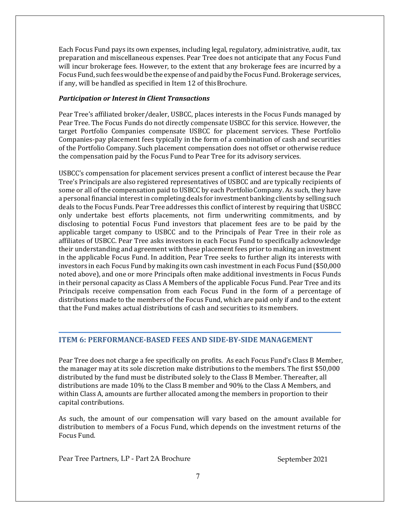Each Focus Fund pays its own expenses, including legal, regulatory, administrative, audit, tax preparation and miscellaneous expenses. Pear Tree does not anticipate that any Focus Fund will incur brokerage fees. However, to the extent that any brokerage fees are incurred by a Focus Fund, such fees would be the expense of and paid by the Focus Fund. Brokerage services, if any, will be handled as specified in Item 12 of this Brochure.

## *Participation or Interest in Client Transactions*

Pear Tree's affiliated broker/dealer, USBCC, places interests in the Focus Funds managed by Pear Tree. The Focus Funds do not directly compensate USBCC for this service. However, the target Portfolio Companies compensate USBCC for placement services. These Portfolio Companies-pay placement fees typically in the form of a combination of cash and securities of the Portfolio Company. Such placement compensation does not offset or otherwise reduce the compensation paid by the Focus Fund to Pear Tree for its advisory services.

USBCC's compensation for placement services present a conflict of interest because the Pear Tree's Principals are also registered representatives of USBCC and are typically recipients of some or all of the compensation paid to USBCC by each Portfolio Company. As such, they have a personal financial interest in completing deals for investment banking clients by selling such deals to the Focus Funds. Pear Tree addresses this conflict of interest by requiring that USBCC only undertake best efforts placements, not firm underwriting commitments, and by disclosing to potential Focus Fund investors that placement fees are to be paid by the applicable target company to USBCC and to the Principals of Pear Tree in their role as affiliates of USBCC. Pear Tree asks investors in each Focus Fund to specifically acknowledge their understanding and agreement with these placement fees prior to making an investment in the applicable Focus Fund. In addition, Pear Tree seeks to further align its interests with investors in each Focus Fund by making its own cash investment in each Focus Fund (\$50,000 noted above), and one or more Principals often make additional investments in Focus Funds in their personal capacity as Class A Members of the applicable Focus Fund. Pear Tree and its Principals receive compensation from each Focus Fund in the form of a percentage of distributions made to the members of the Focus Fund, which are paid only if and to the extent that the Fund makes actual distributions of cash and securities to its members.

## **ITEM 6: PERFORMANCE‐BASED FEES AND SIDE‐BY‐SIDE MANAGEMENT**

Pear Tree does not charge a fee specifically on profits. As each Focus Fund's Class B Member, the manager may at its sole discretion make distributions to the members. The first \$50,000 distributed by the fund must be distributed solely to the Class B Member. Thereafter, all distributions are made 10% to the Class B member and 90% to the Class A Members, and within Class A, amounts are further allocated among the members in proportion to their capital contributions.

As such, the amount of our compensation will vary based on the amount available for distribution to members of a Focus Fund, which depends on the investment returns of the Focus Fund.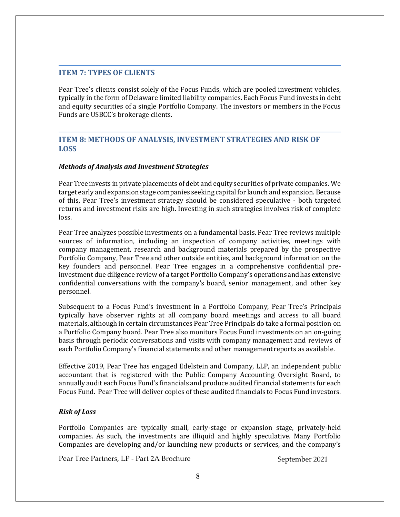## **ITEM 7: TYPES OF CLIENTS**

Pear Tree's clients consist solely of the Focus Funds, which are pooled investment vehicles, typically in the form of Delaware limited liability companies. Each Focus Fund invests in debt and equity securities of a single Portfolio Company. The investors or members in the Focus Funds are USBCC's brokerage clients.

## **ITEM 8: METHODS OF ANALYSIS, INVESTMENT STRATEGIES AND RISK OF LOSS**

## *Methods of Analysis and Investment Strategies*

Pear Tree invests in private placements of debt and equity securities of private companies. We target early and expansion stage companies seeking capital for launch and expansion. Because of this, Pear Tree's investment strategy should be considered speculative - both targeted returns and investment risks are high. Investing in such strategies involves risk of complete loss.

Pear Tree analyzes possible investments on a fundamental basis. Pear Tree reviews multiple sources of information, including an inspection of company activities, meetings with company management, research and background materials prepared by the prospective Portfolio Company, Pear Tree and other outside entities, and background information on the key founders and personnel. Pear Tree engages in a comprehensive confidential preinvestment due diligence review of a target Portfolio Company's operations and has extensive confidential conversations with the company's board, senior management, and other key personnel.

Subsequent to a Focus Fund's investment in a Portfolio Company, Pear Tree's Principals typically have observer rights at all company board meetings and access to all board materials, although in certain circumstances Pear Tree Principals do take a formal position on a Portfolio Company board. Pear Tree also monitors Focus Fund investments on an on-going basis through periodic conversations and visits with company management and reviews of each Portfolio Company's financial statements and other management reports as available.

Effective 2019, Pear Tree has engaged Edelstein and Company, LLP, an independent public accountant that is registered with the Public Company Accounting Oversight Board, to annually audit each Focus Fund's financials and produce audited financial statements for each Focus Fund. Pear Tree will deliver copies of these audited financials to Focus Fund investors.

#### *Risk of Loss*

Portfolio Companies are typically small, early-stage or expansion stage, privately-held companies. As such, the investments are illiquid and highly speculative. Many Portfolio Companies are developing and/or launching new products or services, and the company's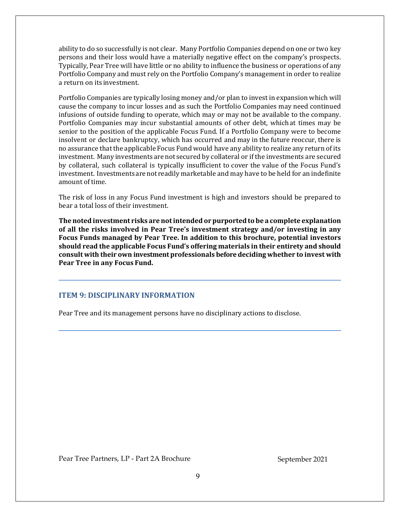ability to do so successfully is not clear. Many Portfolio Companies depend on one or two key persons and their loss would have a materially negative effect on the company's prospects. Typically, Pear Tree will have little or no ability to influence the business or operations of any Portfolio Company and must rely on the Portfolio Company's management in order to realize a return on its investment.

Portfolio Companies are typically losing money and/or plan to invest in expansion which will cause the company to incur losses and as such the Portfolio Companies may need continued infusions of outside funding to operate, which may or may not be available to the company. Portfolio Companies may incur substantial amounts of other debt, which at times may be senior to the position of the applicable Focus Fund. If a Portfolio Company were to become insolvent or declare bankruptcy, which has occurred and may in the future reoccur, there is no assurance that the applicable Focus Fund would have any ability to realize any return of its investment. Many investments are not secured by collateral or if the investments are secured by collateral, such collateral is typically insufficient to cover the value of the Focus Fund's investment. Investments are not readily marketable and may have to be held for an indefinite amount of time.

The risk of loss in any Focus Fund investment is high and investors should be prepared to bear a total loss of their investment.

**The noted investment risks are notintended or purported to be a complete explanation of all the risks involved in Pear Tree's investment strategy and/or investing in any Focus Funds managed by Pear Tree. In addition to this brochure, potential investors should read the applicable Focus Fund's offering materials in their entirety and should consult with their own investment professionals beforedeciding whether to invest with Pear Tree in any Focus Fund.**

## **ITEM 9: DISCIPLINARY INFORMATION**

Pear Tree and its management persons have no disciplinary actions to disclose.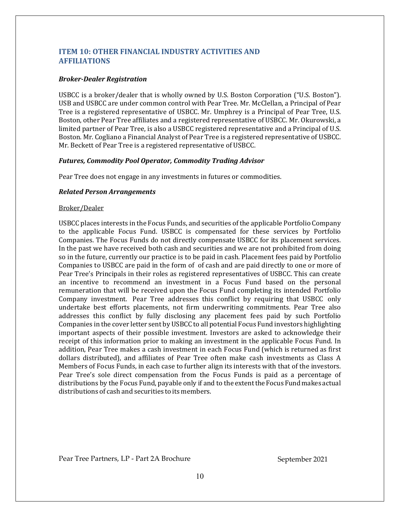## **ITEM 10: OTHER FINANCIAL INDUSTRY ACTIVITIES AND AFFILIATIONS**

#### *Broker‐Dealer Registration*

USBCC is a broker/dealer that is wholly owned by U.S. Boston Corporation ("U.S. Boston"). USB and USBCC are under common control with Pear Tree. Mr. McClellan, a Principal of Pear Tree is a registered representative of USBCC. Mr. Umphrey is a Principal of Pear Tree, U.S. Boston, other Pear Tree affiliates and a registered representative of USBCC. Mr. Okurowski, a limited partner of Pear Tree, is also a USBCC registered representative and a Principal of U.S. Boston. Mr. Cogliano a Financial Analyst of Pear Tree is a registered representative of USBCC. Mr. Beckett of Pear Tree is a registered representative of USBCC.

#### *Futures, Commodity Pool Operator, Commodity Trading Advisor*

Pear Tree does not engage in any investments in futures or commodities.

#### *Related Person Arrangements*

#### Broker/Dealer

USBCC places interests in the Focus Funds, and securities of the applicable Portfolio Company to the applicable Focus Fund. USBCC is compensated for these services by Portfolio Companies. The Focus Funds do not directly compensate USBCC for its placement services. In the past we have received both cash and securities and we are not prohibited from doing so in the future, currently our practice is to be paid in cash. Placement fees paid by Portfolio Companies to USBCC are paid in the form of of cash and are paid directly to one or more of Pear Tree's Principals in their roles as registered representatives of USBCC. This can create an incentive to recommend an investment in a Focus Fund based on the personal remuneration that will be received upon the Focus Fund completing its intended Portfolio Company investment. Pear Tree addresses this conflict by requiring that USBCC only undertake best efforts placements, not firm underwriting commitments. Pear Tree also addresses this conflict by fully disclosing any placement fees paid by such Portfolio Companies in the cover letter sent by USBCC to all potential Focus Fund investors highlighting important aspects of their possible investment. Investors are asked to acknowledge their receipt of this information prior to making an investment in the applicable Focus Fund. In addition, Pear Tree makes a cash investment in each Focus Fund (which is returned as first dollars distributed), and affiliates of Pear Tree often make cash investments as Class A Members of Focus Funds, in each case to further align its interests with that of the investors. Pear Tree's sole direct compensation from the Focus Funds is paid as a percentage of distributions by the Focus Fund, payable only if and to the extent the Focus Fund makes actual distributions of cash and securities to its members.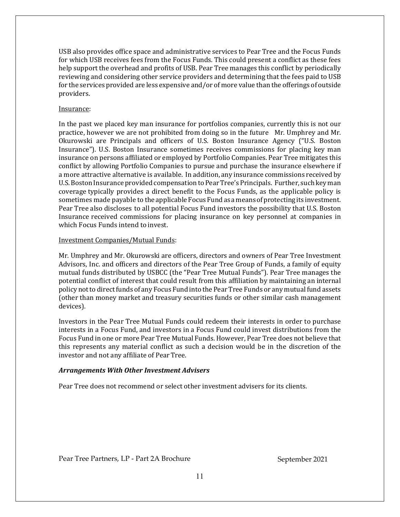USB also provides office space and administrative services to Pear Tree and the Focus Funds for which USB receives fees from the Focus Funds. This could present a conflict as these fees help support the overhead and profits of USB. Pear Tree manages this conflict by periodically reviewing and considering other service providers and determining that the fees paid to USB for the services provided are less expensive and/or of more value than the offerings of outside providers.

#### Insurance:

In the past we placed key man insurance for portfolios companies, currently this is not our practice, however we are not prohibited from doing so in the future Mr. Umphrey and Mr. Okurowski are Principals and officers of U.S. Boston Insurance Agency ("U.S. Boston Insurance"). U.S. Boston Insurance sometimes receives commissions for placing key man insurance on persons affiliated or employed by Portfolio Companies. Pear Tree mitigates this conflict by allowing Portfolio Companies to pursue and purchase the insurance elsewhere if a more attractive alternative is available. In addition, any insurance commissions received by U.S. Boston Insurance provided compensation to Pear Tree's Principals. Further, such key man coverage typically provides a direct benefit to the Focus Funds, as the applicable policy is sometimes made payable to the applicable Focus Fund as a means of protecting its investment. Pear Tree also discloses to all potential Focus Fund investors the possibility that U.S. Boston Insurance received commissions for placing insurance on key personnel at companies in which Focus Funds intend to invest.

#### Investment Companies/Mutual Funds:

Mr. Umphrey and Mr. Okurowski are officers, directors and owners of Pear Tree Investment Advisors, Inc. and officers and directors of the Pear Tree Group of Funds, a family of equity mutual funds distributed by USBCC (the "Pear Tree Mutual Funds"). Pear Tree manages the potential conflict of interest that could result from this affiliation by maintaining an internal policy not to direct funds of any Focus Fund into the Pear Tree Funds or any mutual fund assets (other than money market and treasury securities funds or other similar cash management devices).

Investors in the Pear Tree Mutual Funds could redeem their interests in order to purchase interests in a Focus Fund, and investors in a Focus Fund could invest distributions from the Focus Fund in one or more Pear Tree Mutual Funds. However, Pear Tree does not believe that this represents any material conflict as such a decision would be in the discretion of the investor and not any affiliate of Pear Tree.

## *Arrangements With Other Investment Advisers*

Pear Tree does not recommend or select other investment advisers for its clients.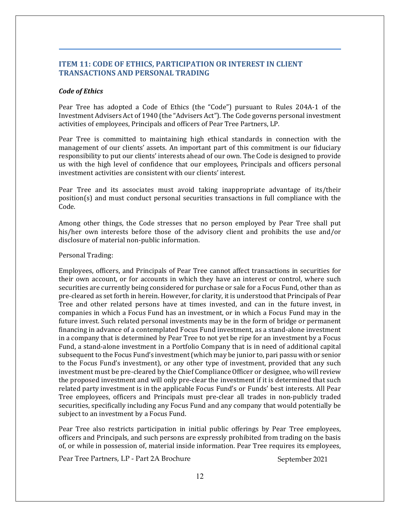## **ITEM 11: CODE OF ETHICS, PARTICIPATION OR INTEREST IN CLIENT TRANSACTIONS AND PERSONAL TRADING**

#### *Code of Ethics*

Pear Tree has adopted a Code of Ethics (the "Code") pursuant to Rules 204A-1 of the Investment Advisers Act of 1940 (the "Advisers Act"). The Code governs personal investment activities of employees, Principals and officers of Pear Tree Partners, LP.

Pear Tree is committed to maintaining high ethical standards in connection with the management of our clients' assets. An important part of this commitment is our fiduciary responsibility to put our clients' interests ahead of our own. The Code is designed to provide us with the high level of confidence that our employees, Principals and officers personal investment activities are consistent with our clients' interest.

Pear Tree and its associates must avoid taking inappropriate advantage of its/their position(s) and must conduct personal securities transactions in full compliance with the Code.

Among other things, the Code stresses that no person employed by Pear Tree shall put his/her own interests before those of the advisory client and prohibits the use and/or disclosure of material non-public information.

#### Personal Trading:

Employees, officers, and Principals of Pear Tree cannot affect transactions in securities for their own account, or for accounts in which they have an interest or control, where such securities are currently being considered for purchase or sale for a Focus Fund, other than as pre-cleared as set forth in herein. However, for clarity, it is understood that Principals of Pear Tree and other related persons have at times invested, and can in the future invest, in companies in which a Focus Fund has an investment, or in which a Focus Fund may in the future invest. Such related personal investments may be in the form of bridge or permanent financing in advance of a contemplated Focus Fund investment, as a stand-alone investment in a company that is determined by Pear Tree to not yet be ripe for an investment by a Focus Fund, a stand-alone investment in a Portfolio Company that is in need of additional capital subsequent to the Focus Fund's investment (which may be junior to, pari passu with or senior to the Focus Fund's investment), or any other type of investment, provided that any such investment must be pre-cleared by the Chief Compliance Officer or designee, who will review the proposed investment and will only pre-clear the investment if it is determined that such related party investment is in the applicable Focus Fund's or Funds' best interests. All Pear Tree employees, officers and Principals must pre-clear all trades in non-publicly traded securities, specifically including any Focus Fund and any company that would potentially be subject to an investment by a Focus Fund.

Pear Tree also restricts participation in initial public offerings by Pear Tree employees, officers and Principals, and such persons are expressly prohibited from trading on the basis of, or while in possession of, material inside information. Pear Tree requires its employees,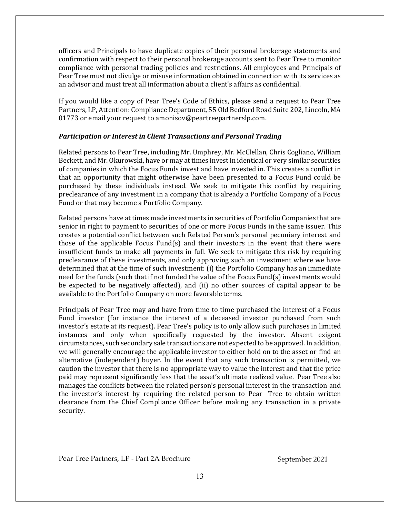officers and Principals to have duplicate copies of their personal brokerage statements and confirmation with respect to their personal brokerage accounts sent to Pear Tree to monitor compliance with personal trading policies and restrictions. All employees and Principals of Pear Tree must not divulge or misuse information obtained in connection with its services as an advisor and must treat all information about a client's affairs as confidential.

If you would like a copy of Pear Tree's Code of Ethics, please send a request to Pear Tree Partners, LP, Attention: Compliance Department, 55 Old Bedford Road Suite 202, Lincoln, MA 01773 or email your request to amonisov@peartreepartnerslp.com.

## *Participation or Interest in Client Transactions and Personal Trading*

Related persons to Pear Tree, including Mr. Umphrey, Mr. McClellan, Chris Cogliano, William Beckett, and Mr. Okurowski, have or may at times invest in identical or very similar securities of companies in which the Focus Funds invest and have invested in. This creates a conflict in that an opportunity that might otherwise have been presented to a Focus Fund could be purchased by these individuals instead. We seek to mitigate this conflict by requiring preclearance of any investment in a company that is already a Portfolio Company of a Focus Fund or that may become a Portfolio Company.

Related persons have at times made investments in securities of Portfolio Companies that are senior in right to payment to securities of one or more Focus Funds in the same issuer. This creates a potential conflict between such Related Person's personal pecuniary interest and those of the applicable Focus Fund(s) and their investors in the event that there were insufficient funds to make all payments in full. We seek to mitigate this risk by requiring preclearance of these investments, and only approving such an investment where we have determined that at the time of such investment: (i) the Portfolio Company has an immediate need for the funds (such that if not funded the value of the Focus Fund(s) investments would be expected to be negatively affected), and (ii) no other sources of capital appear to be available to the Portfolio Company on more favorable terms.

Principals of Pear Tree may and have from time to time purchased the interest of a Focus Fund investor (for instance the interest of a deceased investor purchased from such investor's estate at its request). Pear Tree's policy is to only allow such purchases in limited instances and only when specifically requested by the investor. Absent exigent circumstances, such secondary sale transactions are not expected to be approved. In addition, we will generally encourage the applicable investor to either hold on to the asset or find an alternative (independent) buyer. In the event that any such transaction is permitted, we caution the investor that there is no appropriate way to value the interest and that the price paid may represent significantly less that the asset's ultimate realized value. Pear Tree also manages the conflicts between the related person's personal interest in the transaction and the investor's interest by requiring the related person to Pear Tree to obtain written clearance from the Chief Compliance Officer before making any transaction in a private security.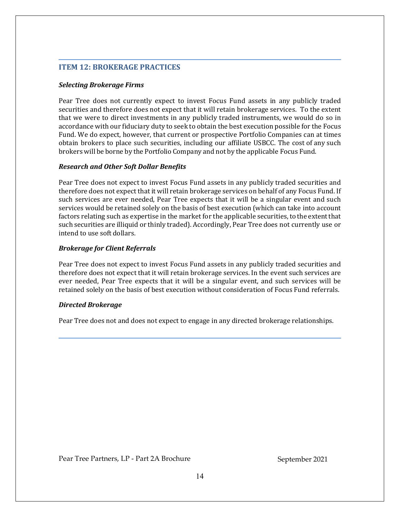## **ITEM 12: BROKERAGE PRACTICES**

#### *Selecting Brokerage Firms*

Pear Tree does not currently expect to invest Focus Fund assets in any publicly traded securities and therefore does not expect that it will retain brokerage services. To the extent that we were to direct investments in any publicly traded instruments, we would do so in accordance with our fiduciary duty to seek to obtain the best execution possible for the Focus Fund. We do expect, however, that current or prospective Portfolio Companies can at times obtain brokers to place such securities, including our affiliate USBCC. The cost of any such brokers will be borne by the Portfolio Company and not by the applicable Focus Fund.

#### *Research and Other Soft Dollar Benefits*

Pear Tree does not expect to invest Focus Fund assets in any publicly traded securities and therefore does not expect that it will retain brokerage services on behalf of any Focus Fund. If such services are ever needed, Pear Tree expects that it will be a singular event and such services would be retained solely on the basis of best execution (which can take into account factors relating such as expertise in the market for the applicable securities, to the extent that such securities are illiquid or thinly traded). Accordingly, Pear Tree does not currently use or intend to use soft dollars.

## *Brokerage for Client Referrals*

Pear Tree does not expect to invest Focus Fund assets in any publicly traded securities and therefore does not expect that it will retain brokerage services. In the event such services are ever needed, Pear Tree expects that it will be a singular event, and such services will be retained solely on the basis of best execution without consideration of Focus Fund referrals.

## *Directed Brokerage*

Pear Tree does not and does not expect to engage in any directed brokerage relationships.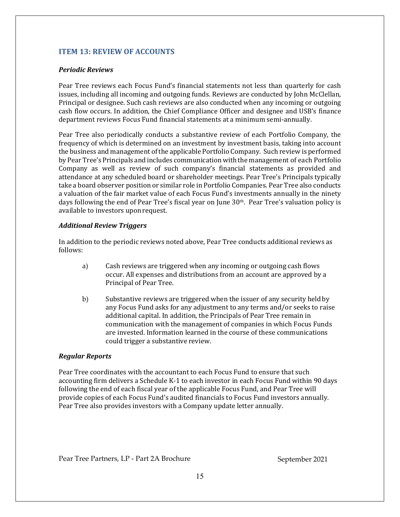## **ITEM 13: REVIEW OF ACCOUNTS**

## *Periodic Reviews*

Pear Tree reviews each Focus Fund's financial statements not less than quarterly for cash issues, including all incoming and outgoing funds. Reviews are conducted by John McClellan, Principal or designee. Such cash reviews are also conducted when any incoming or outgoing cash flow occurs. In addition, the Chief Compliance Officer and designee and USB's finance department reviews Focus Fund financial statements at a minimum semi-annually.

Pear Tree also periodically conducts a substantive review of each Portfolio Company, the frequency of which is determined on an investment by investment basis, taking into account the business and management of the applicable Portfolio Company. Such review is performed by Pear Tree's Principals and includes communication with the management of each Portfolio Company as well as review of such company's financial statements as provided and attendance at any scheduled board or shareholder meetings. Pear Tree's Principals typically take a board observer position or similar role in Portfolio Companies. Pear Tree also conducts a valuation of the fair market value of each Focus Fund's investments annually in the ninety days following the end of Pear Tree's fiscal year on June  $30<sup>th</sup>$ . Pear Tree's valuation policy is available to investors upon request.

## *Additional Review Triggers*

In addition to the periodic reviews noted above, Pear Tree conducts additional reviews as follows:

- a) Cash reviews are triggered when any incoming or outgoing cash flows occur. All expenses and distributions from an account are approved by a Principal of Pear Tree.
- b) Substantive reviews are triggered when the issuer of any security held by any Focus Fund asks for any adjustment to any terms and/or seeks to raise additional capital. In addition, the Principals of Pear Tree remain in communication with the management of companies in which Focus Funds are invested. Information learned in the course of these communications could trigger a substantive review.

## *Regular Reports*

Pear Tree coordinates with the accountant to each Focus Fund to ensure that such accounting firm delivers a Schedule K-1 to each investor in each Focus Fund within 90 days following the end of each fiscal year of the applicable Focus Fund, and Pear Tree will provide copies of each Focus Fund's audited financials to Focus Fund investors annually. Pear Tree also provides investors with a Company update letter annually.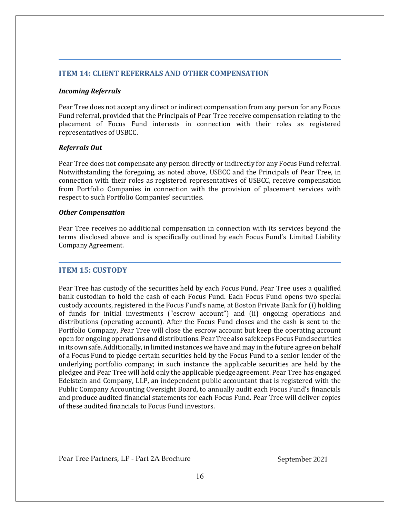## **ITEM 14: CLIENT REFERRALS AND OTHER COMPENSATION**

#### *Incoming Referrals*

Pear Tree does not accept any direct or indirect compensation from any person for any Focus Fund referral, provided that the Principals of Pear Tree receive compensation relating to the placement of Focus Fund interests in connection with their roles as registered representatives of USBCC.

#### *Referrals Out*

Pear Tree does not compensate any person directly or indirectly for any Focus Fund referral. Notwithstanding the foregoing, as noted above, USBCC and the Principals of Pear Tree, in connection with their roles as registered representatives of USBCC, receive compensation from Portfolio Companies in connection with the provision of placement services with respect to such Portfolio Companies' securities.

#### *Other Compensation*

Pear Tree receives no additional compensation in connection with its services beyond the terms disclosed above and is specifically outlined by each Focus Fund's Limited Liability Company Agreement.

## **ITEM 15: CUSTODY**

Pear Tree has custody of the securities held by each Focus Fund. Pear Tree uses a qualified bank custodian to hold the cash of each Focus Fund. Each Focus Fund opens two special custody accounts, registered in the Focus Fund's name, at Boston Private Bank for (i) holding of funds for initial investments ("escrow account") and (ii) ongoing operations and distributions (operating account). After the Focus Fund closes and the cash is sent to the Portfolio Company, Pear Tree will close the escrow account but keep the operating account open for ongoing operations and distributions. Pear Tree also safekeeps Focus Fund securities in its own safe. Additionally, in limited instances we have and may in the future agree on behalf of a Focus Fund to pledge certain securities held by the Focus Fund to a senior lender of the underlying portfolio company; in such instance the applicable securities are held by the pledgee and Pear Tree will hold only the applicable pledge agreement. Pear Tree has engaged Edelstein and Company, LLP, an independent public accountant that is registered with the Public Company Accounting Oversight Board, to annually audit each Focus Fund's financials and produce audited financial statements for each Focus Fund. Pear Tree will deliver copies of these audited financials to Focus Fund investors.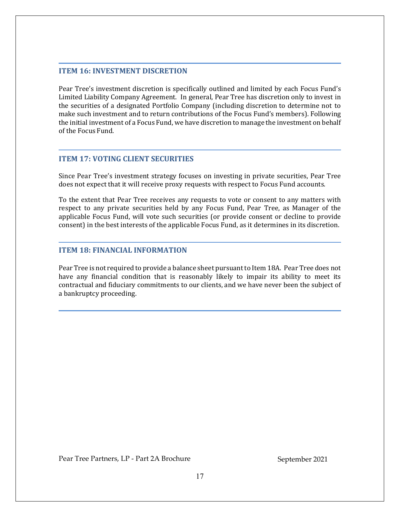## **ITEM 16: INVESTMENT DISCRETION**

Pear Tree's investment discretion is specifically outlined and limited by each Focus Fund's Limited Liability Company Agreement. In general, Pear Tree has discretion only to invest in the securities of a designated Portfolio Company (including discretion to determine not to make such investment and to return contributions of the Focus Fund's members). Following the initial investment of a Focus Fund, we have discretion to manage the investment on behalf of the Focus Fund.

## **ITEM 17: VOTING CLIENT SECURITIES**

Since Pear Tree's investment strategy focuses on investing in private securities, Pear Tree does not expect that it will receive proxy requests with respect to Focus Fund accounts.

To the extent that Pear Tree receives any requests to vote or consent to any matters with respect to any private securities held by any Focus Fund, Pear Tree, as Manager of the applicable Focus Fund, will vote such securities (or provide consent or decline to provide consent) in the best interests of the applicable Focus Fund, as it determines in its discretion.

## **ITEM 18: FINANCIAL INFORMATION**

Pear Tree is not required to provide a balance sheet pursuant to Item 18A. Pear Tree does not have any financial condition that is reasonably likely to impair its ability to meet its contractual and fiduciary commitments to our clients, and we have never been the subject of a bankruptcy proceeding.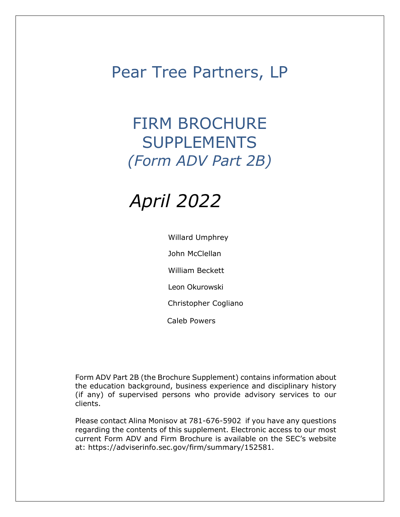# Pear Tree Partners, LP

# FIRM BROCHURE SUPPLEMENTS *(Form ADV Part 2B)*

# *April 2022*

Willard Umphrey John McClellan William Beckett Leon Okurowski Christopher Cogliano Caleb Powers

Form ADV Part 2B (the Brochure Supplement) contains information about the education background, business experience and disciplinary history (if any) of supervised persons who provide advisory services to our clients.

Please contact Alina Monisov at 781-676-5902 if you have any questions regarding the contents of this supplement. Electronic access to our most current Form ADV and Firm Brochure is available on the SEC's website at: https://adviserinfo.sec.gov/firm/summary/152581.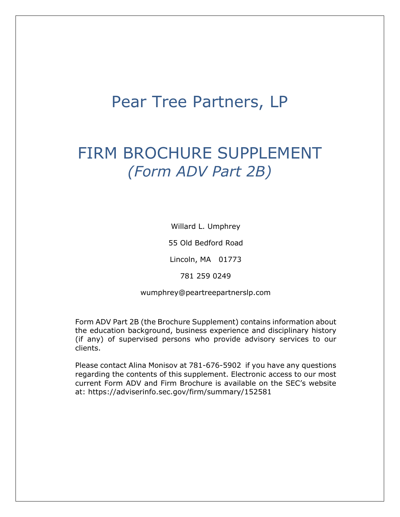# Pear Tree Partners, LP

# FIRM BROCHURE SUPPLEMENT *(Form ADV Part 2B)*

Willard L. Umphrey

55 Old Bedford Road

Lincoln, MA 01773

781 259 0249

wumphrey@peartreepartnerslp.com

Form ADV Part 2B (the Brochure Supplement) contains information about the education background, business experience and disciplinary history (if any) of supervised persons who provide advisory services to our clients.

Please contact Alina Monisov at 781-676-5902 if you have any questions regarding the contents of this supplement. Electronic access to our most current Form ADV and Firm Brochure is available on the SEC's website at: https://adviserinfo.sec.gov/firm/summary/152581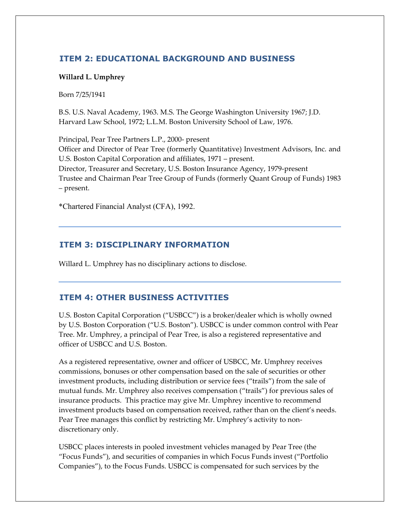# **ITEM 2: EDUCATIONAL BACKGROUND AND BUSINESS**

## **Willard L. Umphrey**

Born 7/25/1941

B.S. U.S. Naval Academy, 1963. M.S. The George Washington University 1967; J.D. Harvard Law School, 1972; L.L.M. Boston University School of Law, 1976.

Principal, Pear Tree Partners L.P., 2000‐ present Officer and Director of Pear Tree (formerly Quantitative) Investment Advisors, Inc. and U.S. Boston Capital Corporation and affiliates, 1971 – present. Director, Treasurer and Secretary, U.S. Boston Insurance Agency, 1979‐present Trustee and Chairman Pear Tree Group of Funds (formerly Quant Group of Funds) 1983 – present.

\*Chartered Financial Analyst (CFA), 1992.

# **ITEM 3: DISCIPLINARY INFORMATION**

Willard L. Umphrey has no disciplinary actions to disclose.

## **ITEM 4: OTHER BUSINESS ACTIVITIES**

U.S. Boston Capital Corporation ("USBCC") is a broker/dealer which is wholly owned by U.S. Boston Corporation ("U.S. Boston"). USBCC is under common control with Pear Tree. Mr. Umphrey, a principal of Pear Tree, is also a registered representative and officer of USBCC and U.S. Boston.

As a registered representative, owner and officer of USBCC, Mr. Umphrey receives commissions, bonuses or other compensation based on the sale of securities or other investment products, including distribution or service fees ("trails") from the sale of mutual funds. Mr. Umphrey also receives compensation ("trails") for previous sales of insurance products. This practice may give Mr. Umphrey incentive to recommend investment products based on compensation received, rather than on the client's needs. Pear Tree manages this conflict by restricting Mr. Umphrey's activity to non‐ discretionary only.

USBCC places interests in pooled investment vehicles managed by Pear Tree (the "Focus Funds"), and securities of companies in which Focus Funds invest ("Portfolio Companies"), to the Focus Funds. USBCC is compensated for such services by the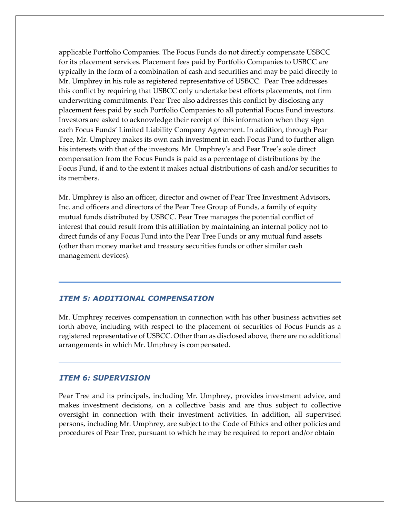applicable Portfolio Companies. The Focus Funds do not directly compensate USBCC for its placement services. Placement fees paid by Portfolio Companies to USBCC are typically in the form of a combination of cash and securities and may be paid directly to Mr. Umphrey in his role as registered representative of USBCC. Pear Tree addresses this conflict by requiring that USBCC only undertake best efforts placements, not firm underwriting commitments. Pear Tree also addresses this conflict by disclosing any placement fees paid by such Portfolio Companies to all potential Focus Fund investors. Investors are asked to acknowledge their receipt of this information when they sign each Focus Funds' Limited Liability Company Agreement. In addition, through Pear Tree, Mr. Umphrey makes its own cash investment in each Focus Fund to further align his interests with that of the investors. Mr. Umphrey's and Pear Tree's sole direct compensation from the Focus Funds is paid as a percentage of distributions by the Focus Fund, if and to the extent it makes actual distributions of cash and/or securities to its members.

Mr. Umphrey is also an officer, director and owner of Pear Tree Investment Advisors, Inc. and officers and directors of the Pear Tree Group of Funds, a family of equity mutual funds distributed by USBCC. Pear Tree manages the potential conflict of interest that could result from this affiliation by maintaining an internal policy not to direct funds of any Focus Fund into the Pear Tree Funds or any mutual fund assets (other than money market and treasury securities funds or other similar cash management devices).

## *ITEM 5: ADDITIONAL COMPENSATION*

Mr. Umphrey receives compensation in connection with his other business activities set forth above, including with respect to the placement of securities of Focus Funds as a registered representative of USBCC. Other than as disclosed above, there are no additional arrangements in which Mr. Umphrey is compensated.

## *ITEM 6: SUPERVISION*

Pear Tree and its principals, including Mr. Umphrey, provides investment advice, and makes investment decisions, on a collective basis and are thus subject to collective oversight in connection with their investment activities. In addition, all supervised persons, including Mr. Umphrey, are subject to the Code of Ethics and other policies and procedures of Pear Tree, pursuant to which he may be required to report and/or obtain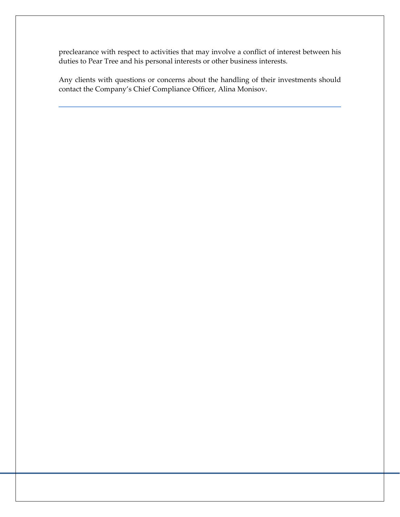preclearance with respect to activities that may involve a conflict of interest between his duties to Pear Tree and his personal interests or other business interests.

Any clients with questions or concerns about the handling of their investments should contact the Company's Chief Compliance Officer, Alina Monisov.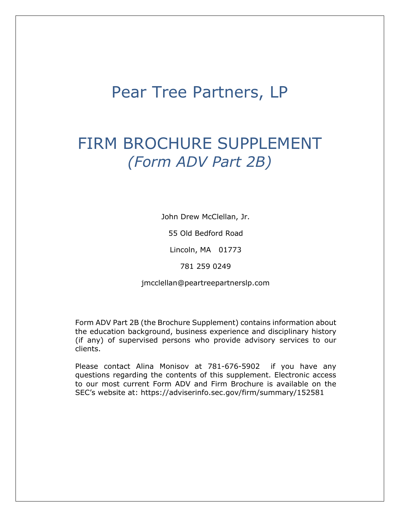# Pear Tree Partners, LP

# FIRM BROCHURE SUPPLEMENT *(Form ADV Part 2B)*

John Drew McClellan, Jr.

55 Old Bedford Road

Lincoln, MA 01773

781 259 0249

jmcclellan@peartreepartnerslp.com

Form ADV Part 2B (the Brochure Supplement) contains information about the education background, business experience and disciplinary history (if any) of supervised persons who provide advisory services to our clients.

Please contact Alina Monisov at 781-676-5902 if you have any questions regarding the contents of this supplement. Electronic access to our most current Form ADV and Firm Brochure is available on the SEC's website at: https://adviserinfo.sec.gov/firm/summary/152581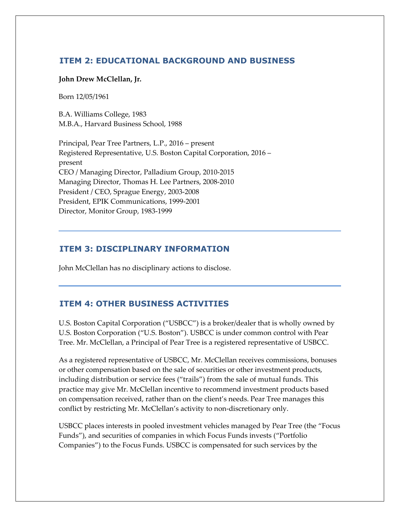## **ITEM 2: EDUCATIONAL BACKGROUND AND BUSINESS**

## **John Drew McClellan, Jr.**

Born 12/05/1961

B.A. Williams College, 1983 M.B.A., Harvard Business School, 1988

Principal, Pear Tree Partners, L.P., 2016 – present Registered Representative, U.S. Boston Capital Corporation, 2016 – present CEO / Managing Director, Palladium Group, 2010‐2015 Managing Director, Thomas H. Lee Partners, 2008‐2010 President / CEO, Sprague Energy, 2003‐2008 President, EPIK Communications, 1999‐2001 Director, Monitor Group, 1983‐1999

# **ITEM 3: DISCIPLINARY INFORMATION**

John McClellan has no disciplinary actions to disclose.

## **ITEM 4: OTHER BUSINESS ACTIVITIES**

U.S. Boston Capital Corporation ("USBCC") is a broker/dealer that is wholly owned by U.S. Boston Corporation ("U.S. Boston"). USBCC is under common control with Pear Tree. Mr. McClellan, a Principal of Pear Tree is a registered representative of USBCC.

As a registered representative of USBCC, Mr. McClellan receives commissions, bonuses or other compensation based on the sale of securities or other investment products, including distribution or service fees ("trails") from the sale of mutual funds. This practice may give Mr. McClellan incentive to recommend investment products based on compensation received, rather than on the client's needs. Pear Tree manages this conflict by restricting Mr. McClellan's activity to non-discretionary only.

USBCC places interests in pooled investment vehicles managed by Pear Tree (the "Focus Funds"), and securities of companies in which Focus Funds invests ("Portfolio Companies") to the Focus Funds. USBCC is compensated for such services by the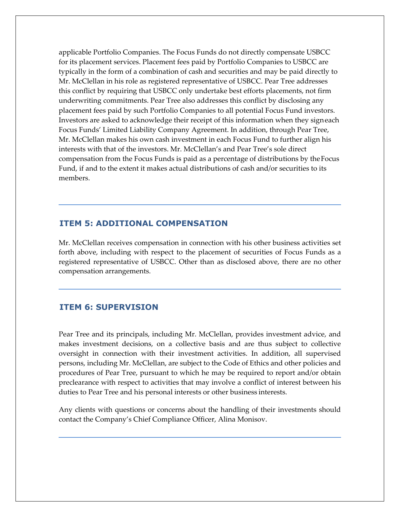applicable Portfolio Companies. The Focus Funds do not directly compensate USBCC for its placement services. Placement fees paid by Portfolio Companies to USBCC are typically in the form of a combination of cash and securities and may be paid directly to Mr. McClellan in his role as registered representative of USBCC. Pear Tree addresses this conflict by requiring that USBCC only undertake best efforts placements, not firm underwriting commitments. Pear Tree also addresses this conflict by disclosing any placement fees paid by such Portfolio Companies to all potential Focus Fund investors. Investors are asked to acknowledge their receipt of this information when they signeach Focus Funds' Limited Liability Company Agreement. In addition, through Pear Tree, Mr. McClellan makes his own cash investment in each Focus Fund to further align his interests with that of the investors. Mr. McClellan's and Pear Tree's sole direct compensation from the Focus Funds is paid as a percentage of distributions by theFocus Fund, if and to the extent it makes actual distributions of cash and/or securities to its members.

## **ITEM 5: ADDITIONAL COMPENSATION**

Mr. McClellan receives compensation in connection with his other business activities set forth above, including with respect to the placement of securities of Focus Funds as a registered representative of USBCC. Other than as disclosed above, there are no other compensation arrangements.

## **ITEM 6: SUPERVISION**

Pear Tree and its principals, including Mr. McClellan, provides investment advice, and makes investment decisions, on a collective basis and are thus subject to collective oversight in connection with their investment activities. In addition, all supervised persons, including Mr. McClellan, are subject to the Code of Ethics and other policies and procedures of Pear Tree, pursuant to which he may be required to report and/or obtain preclearance with respect to activities that may involve a conflict of interest between his duties to Pear Tree and his personal interests or other business interests.

Any clients with questions or concerns about the handling of their investments should contact the Company's Chief Compliance Officer, Alina Monisov.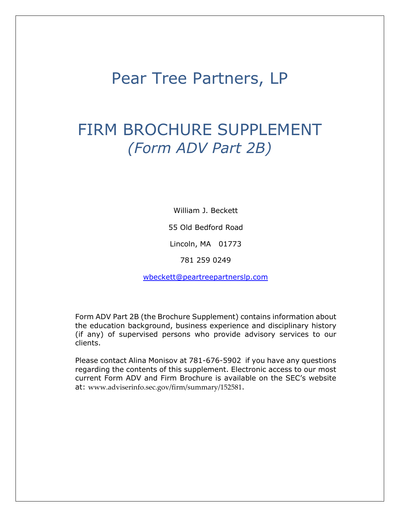# Pear Tree Partners, LP

# FIRM BROCHURE SUPPLEMENT *(Form ADV Part 2B)*

William J. Beckett

55 Old Bedford Road

Lincoln, MA 01773

781 259 0249

wbeckett@peartreepartnerslp.com

Form ADV Part 2B (the Brochure Supplement) contains information about the education background, business experience and disciplinary history (if any) of supervised persons who provide advisory services to our clients.

Please contact Alina Monisov at 781-676-5902 if you have any questions regarding the contents of this supplement. Electronic access to our most current Form ADV and Firm Brochure is available on the SEC's website at: www.adviserinfo.sec.gov/firm/summary/152581.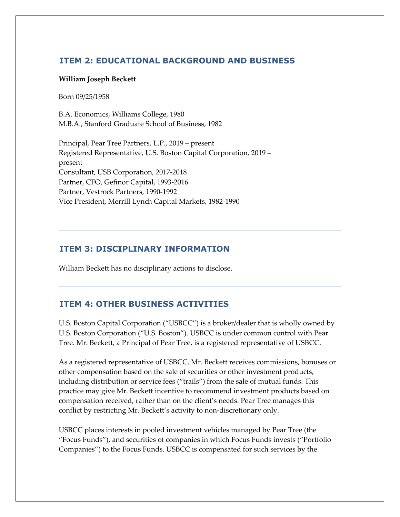## **ITEM 2: EDUCATIONAL BACKGROUND AND BUSINESS**

#### **William Joseph Beckett**

Born 09/25/1958

B.A. Economics, Williams College, 1980 M.B.A., Stanford Graduate School of Business, 1982

Principal, Pear Tree Partners, L.P., 2019 – present Registered Representative, U.S. Boston Capital Corporation, 2019 – present Consultant, USB Corporation, 2017‐2018 Partner, CFO, Gefinor Capital, 1993‐2016 Partner, Vestrock Partners, 1990‐1992 Vice President, Merrill Lynch Capital Markets, 1982‐1990

## **ITEM 3: DISCIPLINARY INFORMATION**

William Beckett has no disciplinary actions to disclose.

## **ITEM 4: OTHER BUSINESS ACTIVITIES**

U.S. Boston Capital Corporation ("USBCC") is a broker/dealer that is wholly owned by U.S. Boston Corporation ("U.S. Boston"). USBCC is under common control with Pear Tree. Mr. Beckett, a Principal of Pear Tree, is a registered representative of USBCC.

As a registered representative of USBCC, Mr. Beckett receives commissions, bonuses or other compensation based on the sale of securities or other investment products, including distribution or service fees ("trails") from the sale of mutual funds. This practice may give Mr. Beckett incentive to recommend investment products based on compensation received, rather than on the client's needs. Pear Tree manages this conflict by restricting Mr. Beckett's activity to non‐discretionary only.

USBCC places interests in pooled investment vehicles managed by Pear Tree (the "Focus Funds"), and securities of companies in which Focus Funds invests ("Portfolio Companies") to the Focus Funds. USBCC is compensated for such services by the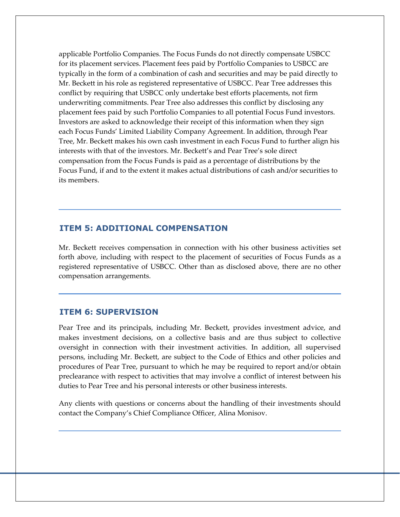applicable Portfolio Companies. The Focus Funds do not directly compensate USBCC for its placement services. Placement fees paid by Portfolio Companies to USBCC are typically in the form of a combination of cash and securities and may be paid directly to Mr. Beckett in his role as registered representative of USBCC. Pear Tree addresses this conflict by requiring that USBCC only undertake best efforts placements, not firm underwriting commitments. Pear Tree also addresses this conflict by disclosing any placement fees paid by such Portfolio Companies to all potential Focus Fund investors. Investors are asked to acknowledge their receipt of this information when they sign each Focus Funds' Limited Liability Company Agreement. In addition, through Pear Tree, Mr. Beckett makes his own cash investment in each Focus Fund to further align his interests with that of the investors. Mr. Beckett's and Pear Tree's sole direct compensation from the Focus Funds is paid as a percentage of distributions by the Focus Fund, if and to the extent it makes actual distributions of cash and/or securities to its members.

## **ITEM 5: ADDITIONAL COMPENSATION**

Mr. Beckett receives compensation in connection with his other business activities set forth above, including with respect to the placement of securities of Focus Funds as a registered representative of USBCC. Other than as disclosed above, there are no other compensation arrangements.

## **ITEM 6: SUPERVISION**

Pear Tree and its principals, including Mr. Beckett, provides investment advice, and makes investment decisions, on a collective basis and are thus subject to collective oversight in connection with their investment activities. In addition, all supervised persons, including Mr. Beckett, are subject to the Code of Ethics and other policies and procedures of Pear Tree, pursuant to which he may be required to report and/or obtain preclearance with respect to activities that may involve a conflict of interest between his duties to Pear Tree and his personal interests or other business interests.

Any clients with questions or concerns about the handling of their investments should contact the Company's Chief Compliance Officer, Alina Monisov.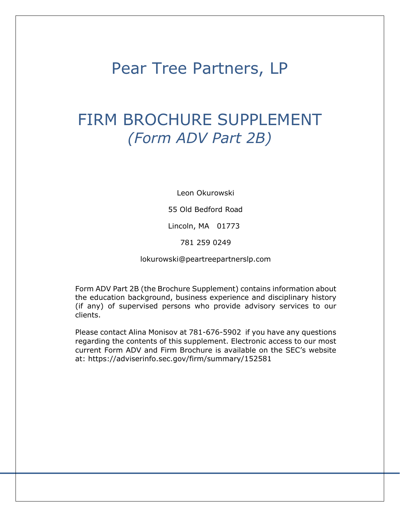# Pear Tree Partners, LP

# FIRM BROCHURE SUPPLEMENT *(Form ADV Part 2B)*

Leon Okurowski

55 Old Bedford Road

Lincoln, MA 01773

781 259 0249

lokurowski@peartreepartnerslp.com

Form ADV Part 2B (the Brochure Supplement) contains information about the education background, business experience and disciplinary history (if any) of supervised persons who provide advisory services to our clients.

Please contact Alina Monisov at 781-676-5902 if you have any questions regarding the contents of this supplement. Electronic access to our most current Form ADV and Firm Brochure is available on the SEC's website at: https://adviserinfo.sec.gov/firm/summary/152581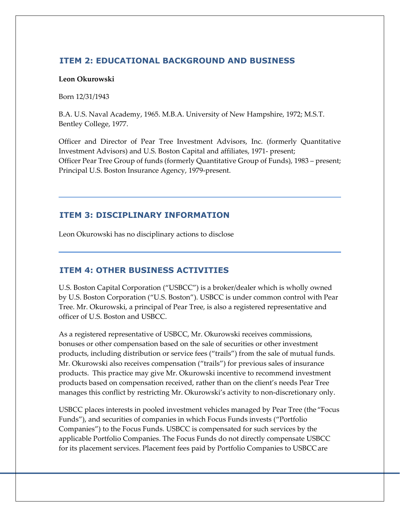## **ITEM 2: EDUCATIONAL BACKGROUND AND BUSINESS**

## **Leon Okurowski**

Born 12/31/1943

B.A. U.S. Naval Academy, 1965. M.B.A. University of New Hampshire, 1972; M.S.T. Bentley College, 1977.

Officer and Director of Pear Tree Investment Advisors, Inc. (formerly Quantitative Investment Advisors) and U.S. Boston Capital and affiliates, 1971‐ present; Officer Pear Tree Group of funds (formerly Quantitative Group of Funds), 1983 – present; Principal U.S. Boston Insurance Agency, 1979‐present.

# **ITEM 3: DISCIPLINARY INFORMATION**

Leon Okurowski has no disciplinary actions to disclose

## **ITEM 4: OTHER BUSINESS ACTIVITIES**

U.S. Boston Capital Corporation ("USBCC") is a broker/dealer which is wholly owned by U.S. Boston Corporation ("U.S. Boston"). USBCC is under common control with Pear Tree. Mr. Okurowski, a principal of Pear Tree, is also a registered representative and officer of U.S. Boston and USBCC.

As a registered representative of USBCC, Mr. Okurowski receives commissions, bonuses or other compensation based on the sale of securities or other investment products, including distribution or service fees ("trails") from the sale of mutual funds. Mr. Okurowski also receives compensation ("trails") for previous sales of insurance products. This practice may give Mr. Okurowski incentive to recommend investment products based on compensation received, rather than on the client's needs Pear Tree manages this conflict by restricting Mr. Okurowski's activity to non-discretionary only.

USBCC places interests in pooled investment vehicles managed by Pear Tree (the "Focus Funds"), and securities of companies in which Focus Funds invests ("Portfolio Companies") to the Focus Funds. USBCC is compensated for such services by the applicable Portfolio Companies. The Focus Funds do not directly compensate USBCC for its placement services. Placement fees paid by Portfolio Companies to USBCC are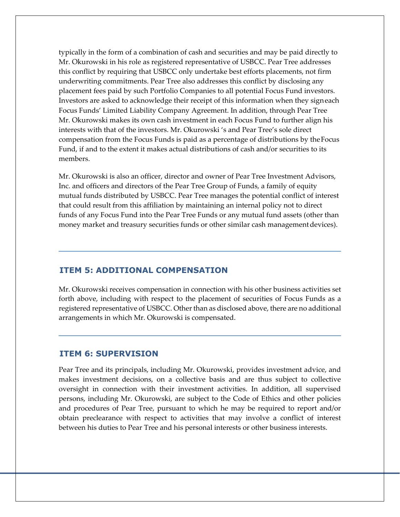typically in the form of a combination of cash and securities and may be paid directly to Mr. Okurowski in his role as registered representative of USBCC. Pear Tree addresses this conflict by requiring that USBCC only undertake best efforts placements, not firm underwriting commitments. Pear Tree also addresses this conflict by disclosing any placement fees paid by such Portfolio Companies to all potential Focus Fund investors. Investors are asked to acknowledge their receipt of this information when they signeach Focus Funds' Limited Liability Company Agreement. In addition, through Pear Tree Mr. Okurowski makes its own cash investment in each Focus Fund to further align his interests with that of the investors. Mr. Okurowski 's and Pear Tree's sole direct compensation from the Focus Funds is paid as a percentage of distributions by theFocus Fund, if and to the extent it makes actual distributions of cash and/or securities to its members.

Mr. Okurowski is also an officer, director and owner of Pear Tree Investment Advisors, Inc. and officers and directors of the Pear Tree Group of Funds, a family of equity mutual funds distributed by USBCC. Pear Tree manages the potential conflict of interest that could result from this affiliation by maintaining an internal policy not to direct funds of any Focus Fund into the Pear Tree Funds or any mutual fund assets (other than money market and treasury securities funds or other similar cash management devices).

## **ITEM 5: ADDITIONAL COMPENSATION**

Mr. Okurowski receives compensation in connection with his other business activities set forth above, including with respect to the placement of securities of Focus Funds as a registered representative of USBCC. Other than as disclosed above, there are no additional arrangements in which Mr. Okurowski is compensated.

## **ITEM 6: SUPERVISION**

Pear Tree and its principals, including Mr. Okurowski, provides investment advice, and makes investment decisions, on a collective basis and are thus subject to collective oversight in connection with their investment activities. In addition, all supervised persons, including Mr. Okurowski, are subject to the Code of Ethics and other policies and procedures of Pear Tree, pursuant to which he may be required to report and/or obtain preclearance with respect to activities that may involve a conflict of interest between his duties to Pear Tree and his personal interests or other business interests.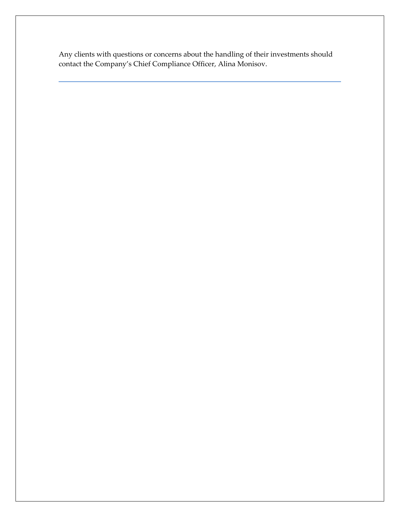Any clients with questions or concerns about the handling of their investments should contact the Company's Chief Compliance Officer, Alina Monisov.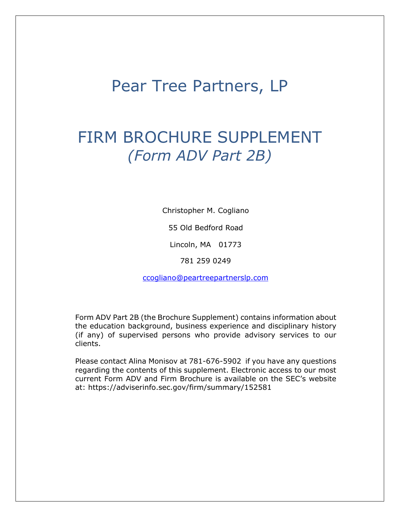# Pear Tree Partners, LP

# FIRM BROCHURE SUPPLEMENT *(Form ADV Part 2B)*

Christopher M. Cogliano

55 Old Bedford Road

Lincoln, MA 01773

781 259 0249

ccogliano@peartreepartnerslp.com

Form ADV Part 2B (the Brochure Supplement) contains information about the education background, business experience and disciplinary history (if any) of supervised persons who provide advisory services to our clients.

Please contact Alina Monisov at 781-676-5902 if you have any questions regarding the contents of this supplement. Electronic access to our most current Form ADV and Firm Brochure is available on the SEC's website at: https://adviserinfo.sec.gov/firm/summary/152581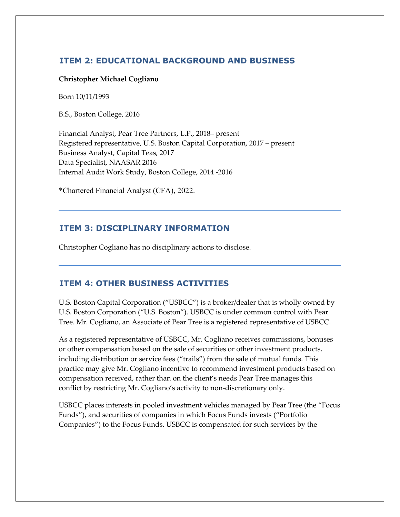# **ITEM 2: EDUCATIONAL BACKGROUND AND BUSINESS**

## **Christopher Michael Cogliano**

Born 10/11/1993

B.S., Boston College, 2016

Financial Analyst, Pear Tree Partners, L.P., 2018– present Registered representative, U.S. Boston Capital Corporation, 2017 – present Business Analyst, Capital Teas, 2017 Data Specialist, NAASAR 2016 Internal Audit Work Study, Boston College, 2014 ‐2016

\*Chartered Financial Analyst (CFA), 2022.

## **ITEM 3: DISCIPLINARY INFORMATION**

Christopher Cogliano has no disciplinary actions to disclose.

## **ITEM 4: OTHER BUSINESS ACTIVITIES**

U.S. Boston Capital Corporation ("USBCC") is a broker/dealer that is wholly owned by U.S. Boston Corporation ("U.S. Boston"). USBCC is under common control with Pear Tree. Mr. Cogliano, an Associate of Pear Tree is a registered representative of USBCC.

As a registered representative of USBCC, Mr. Cogliano receives commissions, bonuses or other compensation based on the sale of securities or other investment products, including distribution or service fees ("trails") from the sale of mutual funds. This practice may give Mr. Cogliano incentive to recommend investment products based on compensation received, rather than on the client's needs Pear Tree manages this conflict by restricting Mr. Cogliano's activity to non‐discretionary only.

USBCC places interests in pooled investment vehicles managed by Pear Tree (the "Focus Funds"), and securities of companies in which Focus Funds invests ("Portfolio Companies") to the Focus Funds. USBCC is compensated for such services by the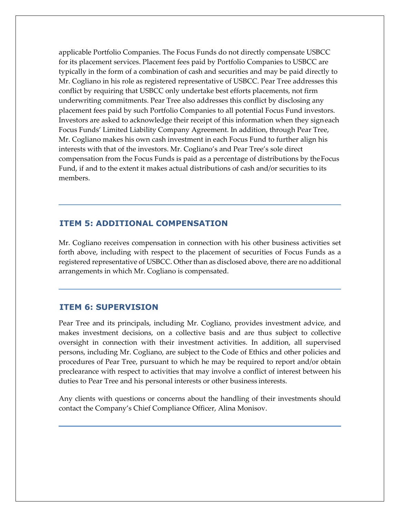applicable Portfolio Companies. The Focus Funds do not directly compensate USBCC for its placement services. Placement fees paid by Portfolio Companies to USBCC are typically in the form of a combination of cash and securities and may be paid directly to Mr. Cogliano in his role as registered representative of USBCC. Pear Tree addresses this conflict by requiring that USBCC only undertake best efforts placements, not firm underwriting commitments. Pear Tree also addresses this conflict by disclosing any placement fees paid by such Portfolio Companies to all potential Focus Fund investors. Investors are asked to acknowledge their receipt of this information when they signeach Focus Funds' Limited Liability Company Agreement. In addition, through Pear Tree, Mr. Cogliano makes his own cash investment in each Focus Fund to further align his interests with that of the investors. Mr. Cogliano's and Pear Tree's sole direct compensation from the Focus Funds is paid as a percentage of distributions by theFocus Fund, if and to the extent it makes actual distributions of cash and/or securities to its members.

## **ITEM 5: ADDITIONAL COMPENSATION**

Mr. Cogliano receives compensation in connection with his other business activities set forth above, including with respect to the placement of securities of Focus Funds as a registered representative of USBCC. Other than as disclosed above, there are no additional arrangements in which Mr. Cogliano is compensated.

## **ITEM 6: SUPERVISION**

Pear Tree and its principals, including Mr. Cogliano, provides investment advice, and makes investment decisions, on a collective basis and are thus subject to collective oversight in connection with their investment activities. In addition, all supervised persons, including Mr. Cogliano, are subject to the Code of Ethics and other policies and procedures of Pear Tree, pursuant to which he may be required to report and/or obtain preclearance with respect to activities that may involve a conflict of interest between his duties to Pear Tree and his personal interests or other business interests.

Any clients with questions or concerns about the handling of their investments should contact the Company's Chief Compliance Officer, Alina Monisov.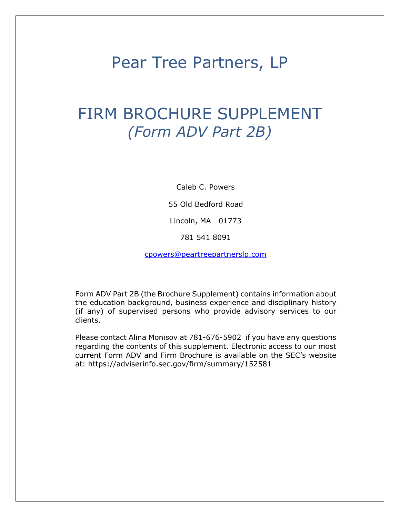# Pear Tree Partners, LP

# FIRM BROCHURE SUPPLEMENT *(Form ADV Part 2B)*

Caleb C. Powers

55 Old Bedford Road

Lincoln, MA 01773

781 541 8091

cpowers@peartreepartnerslp.com

Form ADV Part 2B (the Brochure Supplement) contains information about the education background, business experience and disciplinary history (if any) of supervised persons who provide advisory services to our clients.

Please contact Alina Monisov at 781-676-5902 if you have any questions regarding the contents of this supplement. Electronic access to our most current Form ADV and Firm Brochure is available on the SEC's website at: https://adviserinfo.sec.gov/firm/summary/152581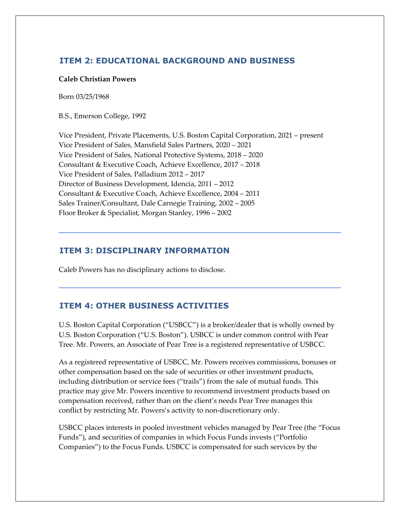# **ITEM 2: EDUCATIONAL BACKGROUND AND BUSINESS**

## **Caleb Christian Powers**

Born 03/25/1968

B.S., Emerson College, 1992

Vice President, Private Placements, U.S. Boston Capital Corporation, 2021 – present Vice President of Sales, Mansfield Sales Partners, 2020 – 2021 Vice President of Sales, National Protective Systems, 2018 – 2020 Consultant & Executive Coach, Achieve Excellence, 2017 – 2018 Vice President of Sales, Palladium 2012 – 2017 Director of Business Development, Idencia, 2011 – 2012 Consultant & Executive Coach, Achieve Excellence, 2004 – 2011 Sales Trainer/Consultant, Dale Carnegie Training, 2002 – 2005 Floor Broker & Specialist, Morgan Stanley, 1996 – 2002

## **ITEM 3: DISCIPLINARY INFORMATION**

Caleb Powers has no disciplinary actions to disclose.

## **ITEM 4: OTHER BUSINESS ACTIVITIES**

U.S. Boston Capital Corporation ("USBCC") is a broker/dealer that is wholly owned by U.S. Boston Corporation ("U.S. Boston"). USBCC is under common control with Pear Tree. Mr. Powers, an Associate of Pear Tree is a registered representative of USBCC.

As a registered representative of USBCC, Mr. Powers receives commissions, bonuses or other compensation based on the sale of securities or other investment products, including distribution or service fees ("trails") from the sale of mutual funds. This practice may give Mr. Powers incentive to recommend investment products based on compensation received, rather than on the client's needs Pear Tree manages this conflict by restricting Mr. Powers's activity to non‐discretionary only.

USBCC places interests in pooled investment vehicles managed by Pear Tree (the "Focus Funds"), and securities of companies in which Focus Funds invests ("Portfolio Companies") to the Focus Funds. USBCC is compensated for such services by the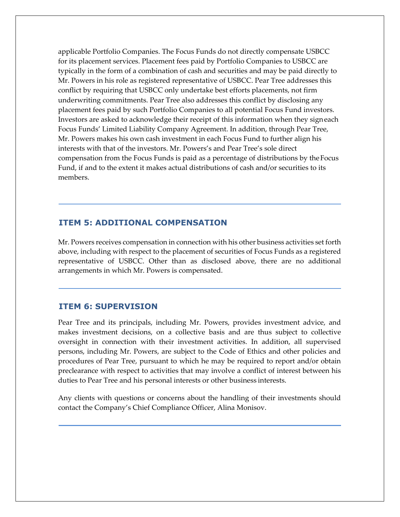applicable Portfolio Companies. The Focus Funds do not directly compensate USBCC for its placement services. Placement fees paid by Portfolio Companies to USBCC are typically in the form of a combination of cash and securities and may be paid directly to Mr. Powers in his role as registered representative of USBCC. Pear Tree addresses this conflict by requiring that USBCC only undertake best efforts placements, not firm underwriting commitments. Pear Tree also addresses this conflict by disclosing any placement fees paid by such Portfolio Companies to all potential Focus Fund investors. Investors are asked to acknowledge their receipt of this information when they signeach Focus Funds' Limited Liability Company Agreement. In addition, through Pear Tree, Mr. Powers makes his own cash investment in each Focus Fund to further align his interests with that of the investors. Mr. Powers's and Pear Tree's sole direct compensation from the Focus Funds is paid as a percentage of distributions by theFocus Fund, if and to the extent it makes actual distributions of cash and/or securities to its members.

## **ITEM 5: ADDITIONAL COMPENSATION**

Mr. Powers receives compensation in connection with his other business activities set forth above, including with respect to the placement of securities of Focus Funds as a registered representative of USBCC. Other than as disclosed above, there are no additional arrangements in which Mr. Powers is compensated.

## **ITEM 6: SUPERVISION**

Pear Tree and its principals, including Mr. Powers, provides investment advice, and makes investment decisions, on a collective basis and are thus subject to collective oversight in connection with their investment activities. In addition, all supervised persons, including Mr. Powers, are subject to the Code of Ethics and other policies and procedures of Pear Tree, pursuant to which he may be required to report and/or obtain preclearance with respect to activities that may involve a conflict of interest between his duties to Pear Tree and his personal interests or other business interests.

Any clients with questions or concerns about the handling of their investments should contact the Company's Chief Compliance Officer, Alina Monisov.